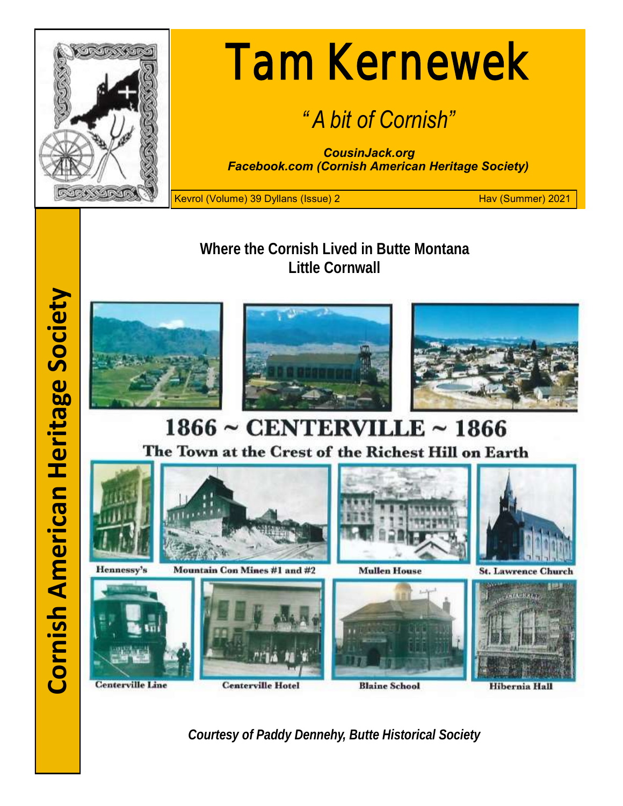

# Tam Kernewek

## *" A bit of Cornish"*

*CousinJack.org Facebook.com (Cornish American Heritage Society)*

Kevrol (Volume) 39 Dyllans (Issue) 2 Hav (Summer) 2021

**Where the Cornish Lived in Butte Montana Little Cornwall**







## $1866 \sim$  CENTERVILLE  $\sim$  1866 The Town at the Crest of the Richest Hill on Earth



*Courtesy of Paddy Dennehy, Butte Historical Society*

**Cornish American Heritage Society Cornish American Heritage Society**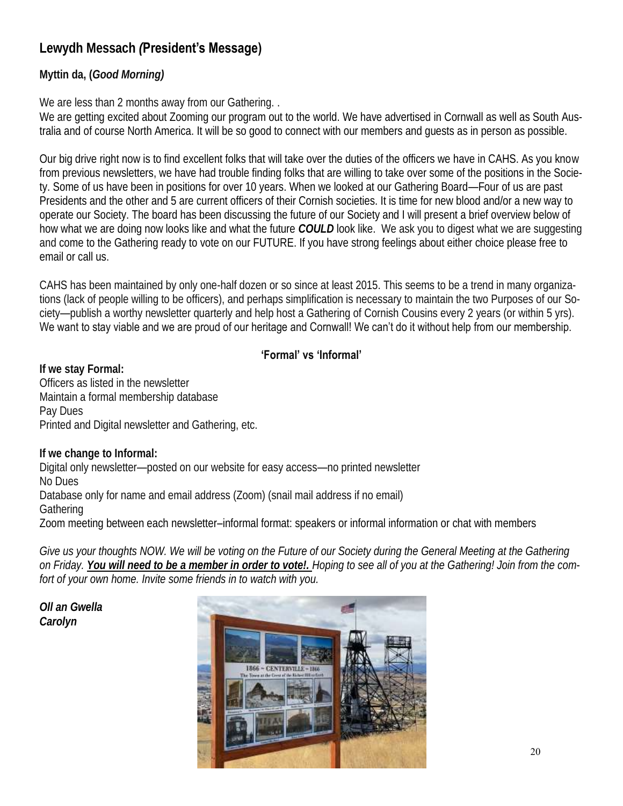## **Lewydh Messach** *(***President's Message)**

#### **Myttin da, (***Good Morning)*

We are less than 2 months away from our Gathering...

We are getting excited about Zooming our program out to the world. We have advertised in Cornwall as well as South Australia and of course North America. It will be so good to connect with our members and guests as in person as possible.

Our big drive right now is to find excellent folks that will take over the duties of the officers we have in CAHS. As you know from previous newsletters, we have had trouble finding folks that are willing to take over some of the positions in the Society. Some of us have been in positions for over 10 years. When we looked at our Gathering Board—Four of us are past Presidents and the other and 5 are current officers of their Cornish societies. It is time for new blood and/or a new way to operate our Society. The board has been discussing the future of our Society and I will present a brief overview below of how what we are doing now looks like and what the future *COULD* look like. We ask you to digest what we are suggesting and come to the Gathering ready to vote on our FUTURE. If you have strong feelings about either choice please free to email or call us.

CAHS has been maintained by only one-half dozen or so since at least 2015. This seems to be a trend in many organizations (lack of people willing to be officers), and perhaps simplification is necessary to maintain the two Purposes of our Society—publish a worthy newsletter quarterly and help host a Gathering of Cornish Cousins every 2 years (or within 5 yrs). We want to stay viable and we are proud of our heritage and Cornwall! We can't do it without help from our membership.

#### **'Formal' vs 'Informal'**

**If we stay Formal:** Officers as listed in the newsletter Maintain a formal membership database Pay Dues Printed and Digital newsletter and Gathering, etc.

**If we change to Informal:** Digital only newsletter—posted on our website for easy access—no printed newsletter No Dues Database only for name and email address (Zoom) (snail mail address if no email) **Gathering** 

Zoom meeting between each newsletter–informal format: speakers or informal information or chat with members

*Give us your thoughts NOW. We will be voting on the Future of our Society during the General Meeting at the Gathering on Friday. You will need to be a member in order to vote!. Hoping to see all of you at the Gathering! Join from the comfort of your own home. Invite some friends in to watch with you.*

*Oll an Gwella Carolyn*

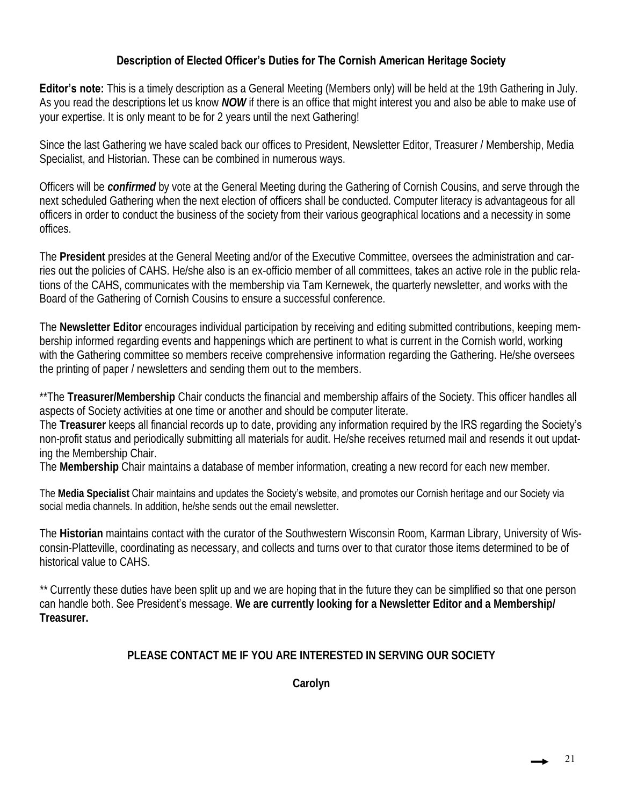#### **Description of Elected Officer's Duties for The Cornish American Heritage Society**

**Editor's note:** This is a timely description as a General Meeting (Members only) will be held at the 19th Gathering in July. As you read the descriptions let us know *NOW* if there is an office that might interest you and also be able to make use of your expertise. It is only meant to be for 2 years until the next Gathering!

Since the last Gathering we have scaled back our offices to President, Newsletter Editor, Treasurer / Membership, Media Specialist, and Historian. These can be combined in numerous ways.

Officers will be *confirmed* by vote at the General Meeting during the Gathering of Cornish Cousins, and serve through the next scheduled Gathering when the next election of officers shall be conducted. Computer literacy is advantageous for all officers in order to conduct the business of the society from their various geographical locations and a necessity in some offices.

The **President** presides at the General Meeting and/or of the Executive Committee, oversees the administration and carries out the policies of CAHS. He/she also is an ex-officio member of all committees, takes an active role in the public relations of the CAHS, communicates with the membership via Tam Kernewek, the quarterly newsletter, and works with the Board of the Gathering of Cornish Cousins to ensure a successful conference.

The **Newsletter Editor** encourages individual participation by receiving and editing submitted contributions, keeping membership informed regarding events and happenings which are pertinent to what is current in the Cornish world, working with the Gathering committee so members receive comprehensive information regarding the Gathering. He/she oversees the printing of paper / newsletters and sending them out to the members.

\*\*The **Treasurer/Membership** Chair conducts the financial and membership affairs of the Society. This officer handles all aspects of Society activities at one time or another and should be computer literate.

The **Treasurer** keeps all financial records up to date, providing any information required by the IRS regarding the Society's non-profit status and periodically submitting all materials for audit. He/she receives returned mail and resends it out updating the Membership Chair.

The **Membership** Chair maintains a database of member information, creating a new record for each new member.

The **Media Specialist** Chair maintains and updates the Society's website, and promotes our Cornish heritage and our Society via social media channels. In addition, he/she sends out the email newsletter.

The **Historian** maintains contact with the curator of the Southwestern Wisconsin Room, Karman Library, University of Wisconsin-Platteville, coordinating as necessary, and collects and turns over to that curator those items determined to be of historical value to CAHS.

*\*\** Currently these duties have been split up and we are hoping that in the future they can be simplified so that one person can handle both. See President's message. **We are currently looking for a Newsletter Editor and a Membership/ Treasurer.**

#### **PLEASE CONTACT ME IF YOU ARE INTERESTED IN SERVING OUR SOCIETY**

**Carolyn**

21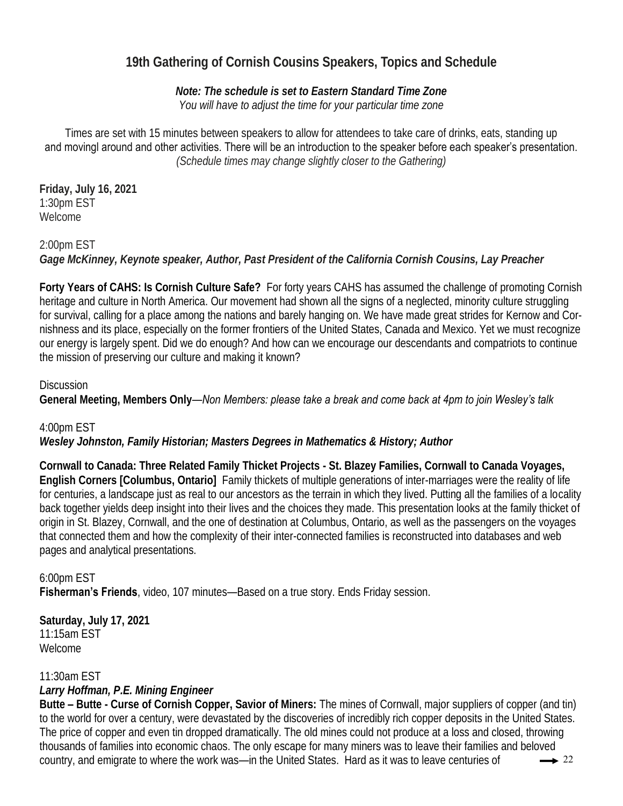## **19th Gathering of Cornish Cousins Speakers, Topics and Schedule**

*Note: The schedule is set to Eastern Standard Time Zone You will have to adjust the time for your particular time zone*

Times are set with 15 minutes between speakers to allow for attendees to take care of drinks, eats, standing up and movingl around and other activities. There will be an introduction to the speaker before each speaker's presentation. *(Schedule times may change slightly closer to the Gathering)*

**Friday, July 16, 2021** 1:30pm EST Welcome

2:00pm EST *Gage McKinney, Keynote speaker, Author, Past President of the California Cornish Cousins, Lay Preacher* 

**Forty Years of CAHS: Is Cornish Culture Safe?** For forty years CAHS has assumed the challenge of promoting Cornish heritage and culture in North America. Our movement had shown all the signs of a neglected, minority culture struggling for survival, calling for a place among the nations and barely hanging on. We have made great strides for Kernow and Cornishness and its place, especially on the former frontiers of the United States, Canada and Mexico. Yet we must recognize our energy is largely spent. Did we do enough? And how can we encourage our descendants and compatriots to continue the mission of preserving our culture and making it known?

#### **Discussion**

**General Meeting, Members Only**—*Non Members: please take a break and come back at 4pm to join Wesley's talk*

4:00pm EST

*Wesley Johnston, Family Historian; Masters Degrees in Mathematics & History; Author* 

**Cornwall to Canada: Three Related Family Thicket Projects - St. Blazey Families, Cornwall to Canada Voyages, English Corners [Columbus, Ontario]** Family thickets of multiple generations of inter-marriages were the reality of life for centuries, a landscape just as real to our ancestors as the terrain in which they lived. Putting all the families of a locality back together yields deep insight into their lives and the choices they made. This presentation looks at the family thicket of origin in St. Blazey, Cornwall, and the one of destination at Columbus, Ontario, as well as the passengers on the voyages that connected them and how the complexity of their inter-connected families is reconstructed into databases and web pages and analytical presentations.

6:00pm EST **Fisherman's Friends**, video, 107 minutes—Based on a true story. Ends Friday session.

**Saturday, July 17, 2021** 11:15am EST Welcome

11:30am EST

*Larry Hoffman, P.E. Mining Engineer* 

**Butte – Butte - Curse of Cornish Copper, Savior of Miners:** The mines of Cornwall, major suppliers of copper (and tin) to the world for over a century, were devastated by the discoveries of incredibly rich copper deposits in the United States. The price of copper and even tin dropped dramatically. The old mines could not produce at a loss and closed, throwing thousands of families into economic chaos. The only escape for many miners was to leave their families and beloved country, and emigrate to where the work was—in the United States. Hard as it was to leave centuries of  $\longrightarrow$  22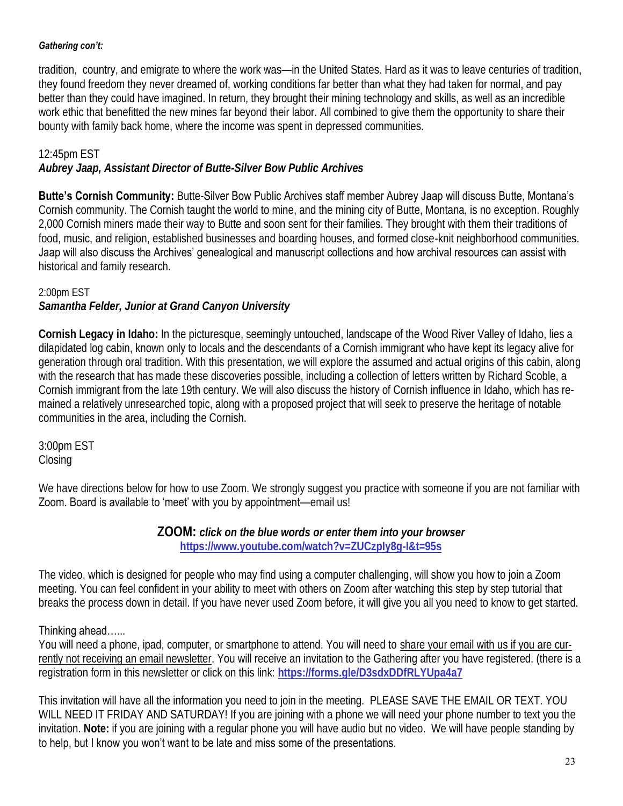#### *Gathering con't:*

tradition, country, and emigrate to where the work was—in the United States. Hard as it was to leave centuries of tradition, they found freedom they never dreamed of, working conditions far better than what they had taken for normal, and pay better than they could have imagined. In return, they brought their mining technology and skills, as well as an incredible work ethic that benefitted the new mines far beyond their labor. All combined to give them the opportunity to share their bounty with family back home, where the income was spent in depressed communities.

12:45pm EST

*Aubrey Jaap, Assistant Director of Butte-Silver Bow Public Archives*

**Butte's Cornish Community:** Butte-Silver Bow Public Archives staff member Aubrey Jaap will discuss Butte, Montana's Cornish community. The Cornish taught the world to mine, and the mining city of Butte, Montana, is no exception. Roughly 2,000 Cornish miners made their way to Butte and soon sent for their families. They brought with them their traditions of food, music, and religion, established businesses and boarding houses, and formed close-knit neighborhood communities. Jaap will also discuss the Archives' genealogical and manuscript collections and how archival resources can assist with historical and family research.

2:00pm EST

*Samantha Felder, Junior at Grand Canyon University*

**Cornish Legacy in Idaho:** In the picturesque, seemingly untouched, landscape of the Wood River Valley of Idaho, lies a dilapidated log cabin, known only to locals and the descendants of a Cornish immigrant who have kept its legacy alive for generation through oral tradition. With this presentation, we will explore the assumed and actual origins of this cabin, along with the research that has made these discoveries possible, including a collection of letters written by Richard Scoble, a Cornish immigrant from the late 19th century. We will also discuss the history of Cornish influence in Idaho, which has remained a relatively unresearched topic, along with a proposed project that will seek to preserve the heritage of notable communities in the area, including the Cornish.

3:00pm EST **Closing** 

We have directions below for how to use Zoom. We strongly suggest you practice with someone if you are not familiar with Zoom. Board is available to 'meet' with you by appointment—email us!

> **ZOOM:** *click on the blue words or enter them into your browser*  **https://www.youtube.com/watch?v=ZUCzpIy8g-I&t=95s**

The video, which is designed for people who may find using a computer challenging, will show you how to join a Zoom meeting. You can feel confident in your ability to meet with others on Zoom after watching this step by step tutorial that breaks the process down in detail. If you have never used Zoom before, it will give you all you need to know to get started.

#### Thinking ahead…...

You will need a phone, ipad, computer, or smartphone to attend. You will need to share your email with us if you are currently not receiving an email newsletter. You will receive an invitation to the Gathering after you have registered. (there is a registration form in this newsletter or click on this link: **https://forms.gle/D3sdxDDfRLYUpa4a7**

This invitation will have all the information you need to join in the meeting. PLEASE SAVE THE EMAIL OR TEXT. YOU WILL NEED IT FRIDAY AND SATURDAY! If you are joining with a phone we will need your phone number to text you the invitation. **Note:** if you are joining with a regular phone you will have audio but no video. We will have people standing by to help, but I know you won't want to be late and miss some of the presentations.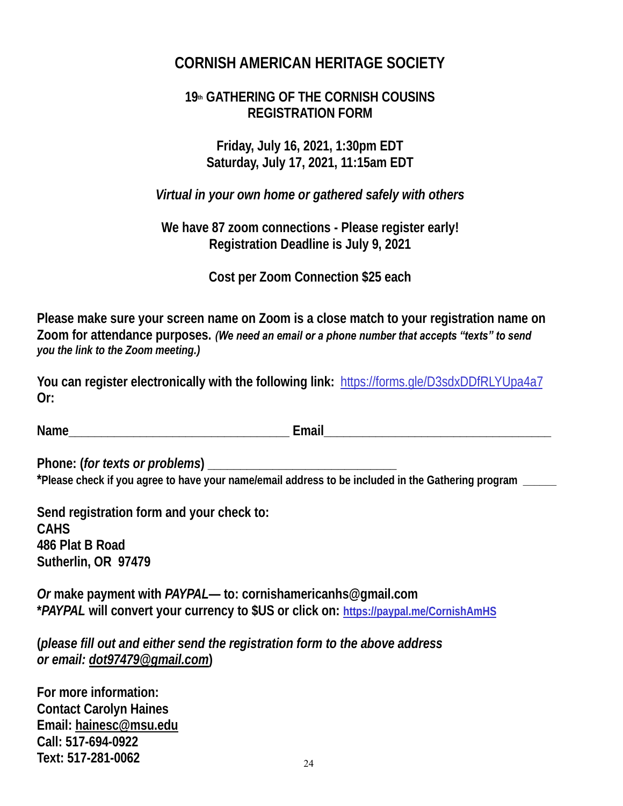## **CORNISH AMERICAN HERITAGE SOCIETY**

## **19th GATHERING OF THE CORNISH COUSINS REGISTRATION FORM**

**Friday, July 16, 2021, 1:30pm EDT Saturday, July 17, 2021, 11:15am EDT**

*Virtual in your own home or gathered safely with others*

**We have 87 zoom connections - Please register early! Registration Deadline is July 9, 2021**

**Cost per Zoom Connection \$25 each**

**Please make sure your screen name on Zoom is a close match to your registration name on Zoom for attendance purposes.** *(We need an email or a phone number that accepts "texts" to send you the link to the Zoom meeting.)*

**You can register electronically with the following link:** https://forms.gle/D3sdxDDfRLYUpa4a7 **Or:**

**Name\_\_\_\_\_\_\_\_\_\_\_\_\_\_\_\_\_\_\_\_\_\_\_\_\_\_\_\_\_\_\_\_\_\_ Email\_\_\_\_\_\_\_\_\_\_\_\_\_\_\_\_\_\_\_\_\_\_\_\_\_\_\_\_\_\_\_\_\_\_\_**

**Phone: (***for texts or problems***) \_\_\_\_\_\_\_\_\_\_\_\_\_\_\_\_\_\_\_\_\_\_\_\_\_\_\_\_\_ \*Please check if you agree to have your name/email address to be included in the Gathering program \_\_\_\_\_\_**

**Send registration form and your check to: CAHS 486 Plat B Road Sutherlin, OR 97479**

*Or* **make payment with** *PAYPAL***— to: cornishamericanhs@gmail.com \****PAYPAL* **will convert your currency to \$US or click on: https://paypal.me/CornishAmHS**

**(***please fill out and either send the registration form to the above address or email: dot97479@gmail.com***)** 

**For more information: Contact Carolyn Haines Email: hainesc@msu.edu Call: 517-694-0922 Text: 517-281-0062** 24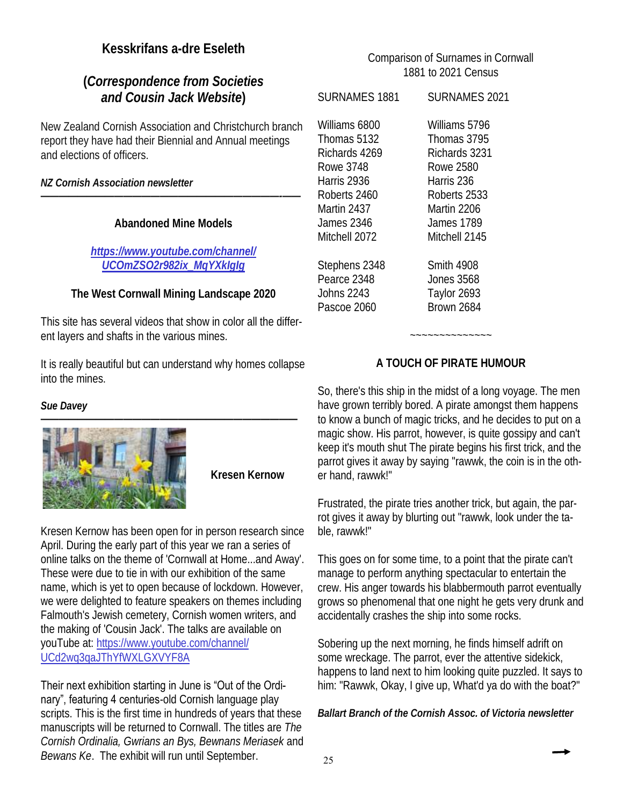#### **Kesskrifans a-dre Eseleth**

#### **(***Correspondence from Societies and Cousin Jack Website***)**

New Zealand Cornish Association and Christchurch branch report they have had their Biennial and Annual meetings and elections of officers.

*NZ Cornish Association newsletter* 

#### **Abandoned Mine Models**

*——————————————————————————-——*

#### *https://www.youtube.com/channel/ UCOmZSO2r982ix\_MqYXkIgIg*

**The West Cornwall Mining Landscape 2020**

This site has several videos that show in color all the different layers and shafts in the various mines.

It is really beautiful but can understand why homes collapse into the mines.

*Sue Davey* 



**Kresen Kernow** 

Kresen Kernow has been open for in person research since April. During the early part of this year we ran a series of online talks on the theme of 'Cornwall at Home...and Away'. These were due to tie in with our exhibition of the same name, which is yet to open because of lockdown. However, we were delighted to feature speakers on themes including Falmouth's Jewish cemetery, Cornish women writers, and the making of 'Cousin Jack'. The talks are available on youTube at: https://www.youtube.com/channel/ UCd2wq3qaJThYfWXLGXVYF8A

#### Their next exhibition starting in June is "Out of the Ordi-

nary", featuring 4 centuries-old Cornish language play scripts. This is the first time in hundreds of years that these manuscripts will be returned to Cornwall. The titles are *The Cornish Ordinalia, Gwrians an Bys, Bewnans Meriasek* and *Bewans Ke*. The exhibit will run until September.

#### Comparison of Surnames in Cornwall 1881 to 2021 Census

| <b>SURNAMES 1881</b> | SURNAMES 2021     |
|----------------------|-------------------|
| Williams 6800        | Williams 5796     |
| Thomas 5132          | Thomas 3795       |
| Richards 4269        | Richards 3231     |
| <b>Rowe 3748</b>     | Rowe 2580         |
| Harris 2936          | Harris 236        |
| Roberts 2460         | Roberts 2533      |
| Martin 2437          | Martin 2206       |
| James 2346           | <b>James 1789</b> |
| Mitchell 2072        | Mitchell 2145     |
| Stephens 2348        | <b>Smith 4908</b> |
| Pearce 2348          | <b>Jones 3568</b> |
| <b>Johns 2243</b>    | Taylor 2693       |
| Pascoe 2060          | <b>Brown 2684</b> |

#### **A TOUCH OF PIRATE HUMOUR**

~~~~~~~~~~~~~~

So, there's this ship in the midst of a long voyage. The men have grown terribly bored. A pirate amongst them happens to know a bunch of magic tricks, and he decides to put on a magic show. His parrot, however, is quite gossipy and can't keep it's mouth shut The pirate begins his first trick, and the parrot gives it away by saying "rawwk, the coin is in the other hand, rawwk!"

Frustrated, the pirate tries another trick, but again, the parrot gives it away by blurting out "rawwk, look under the table, rawwk!"

This goes on for some time, to a point that the pirate can't manage to perform anything spectacular to entertain the crew. His anger towards his blabbermouth parrot eventually grows so phenomenal that one night he gets very drunk and accidentally crashes the ship into some rocks.

Sobering up the next morning, he finds himself adrift on some wreckage. The parrot, ever the attentive sidekick, happens to land next to him looking quite puzzled. It says to him: "Rawwk, Okay, I give up, What'd ya do with the boat?"

*Ballart Branch of the Cornish Assoc. of Victoria newsletter*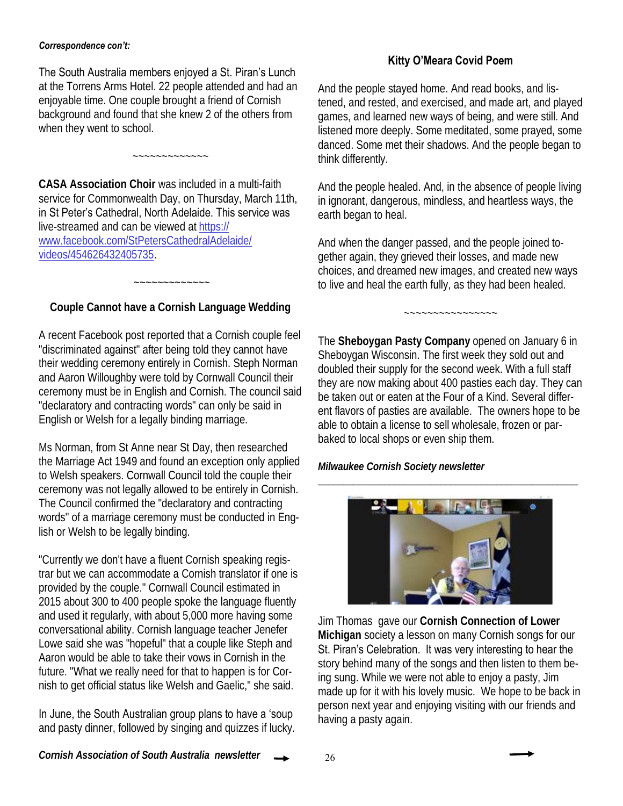#### *Correspondence con't:*

#### The South Australia members enjoyed a St. Piran's Lunch

at the Torrens Arms Hotel. 22 people attended and had an enjoyable time. One couple brought a friend of Cornish background and found that she knew 2 of the others from when they went to school.

 $\sim$  ~~~~~~~~~~

**CASA Association Choir** was included in a multi-faith service for Commonwealth Day, on Thursday, March 11th, in St Peter's Cathedral, North Adelaide. This service was live-streamed and can be viewed at https:// www.facebook.com/StPetersCathedralAdelaide/ videos/454626432405735.

**Couple Cannot have a Cornish Language Wedding**

~~~~~~~~~~~~~

A recent Facebook post reported that a Cornish couple feel "discriminated against" after being told they cannot have their wedding ceremony entirely in Cornish. Steph Norman and Aaron Willoughby were told by Cornwall Council their ceremony must be in English and Cornish. The council said "declaratory and contracting words" can only be said in English or Welsh for a legally binding marriage.

Ms Norman, from St Anne near St Day, then researched the Marriage Act 1949 and found an exception only applied to Welsh speakers. Cornwall Council told the couple their ceremony was not legally allowed to be entirely in Cornish. The Council confirmed the "declaratory and contracting words" of a marriage ceremony must be conducted in English or Welsh to be legally binding.

"Currently we don't have a fluent Cornish speaking registrar but we can accommodate a Cornish translator if one is provided by the couple." Cornwall Council estimated in 2015 about 300 to 400 people spoke the language fluently and used it regularly, with about 5,000 more having some conversational ability. Cornish language teacher Jenefer Lowe said she was "hopeful" that a couple like Steph and Aaron would be able to take their vows in Cornish in the future. "What we really need for that to happen is for Cornish to get official status like Welsh and Gaelic," she said.

In June, the South Australian group plans to have a 'soup and pasty dinner, followed by singing and quizzes if lucky.

#### **Kitty O'Meara Covid Poem**

And the people stayed home. And read books, and listened, and rested, and exercised, and made art, and played games, and learned new ways of being, and were still. And listened more deeply. Some meditated, some prayed, some danced. Some met their shadows. And the people began to think differently.

And the people healed. And, in the absence of people living in ignorant, dangerous, mindless, and heartless ways, the earth began to heal.

And when the danger passed, and the people joined together again, they grieved their losses, and made new choices, and dreamed new images, and created new ways to live and heal the earth fully, as they had been healed.

~~~~~~~~~~~~~~~~

The **Sheboygan Pasty Company** opened on January 6 in Sheboygan Wisconsin. The first week they sold out and doubled their supply for the second week. With a full staff they are now making about 400 pasties each day. They can be taken out or eaten at the Four of a Kind. Several different flavors of pasties are available. The owners hope to be able to obtain a license to sell wholesale, frozen or parbaked to local shops or even ship them.

*Milwaukee Cornish Society newsletter*



\_\_\_\_\_\_\_\_\_\_\_\_\_\_\_\_\_\_\_\_\_\_\_\_\_\_\_\_\_\_\_\_\_\_\_\_\_\_\_\_\_\_\_\_\_\_\_\_\_\_\_

Jim Thomas gave our **Cornish Connection of Lower Michigan** society a lesson on many Cornish songs for our St. Piran's Celebration. It was very interesting to hear the story behind many of the songs and then listen to them being sung. While we were not able to enjoy a pasty, Jim made up for it with his lovely music. We hope to be back in person next year and enjoying visiting with our friends and having a pasty again.

*Cornish Association of South Australia newsletter*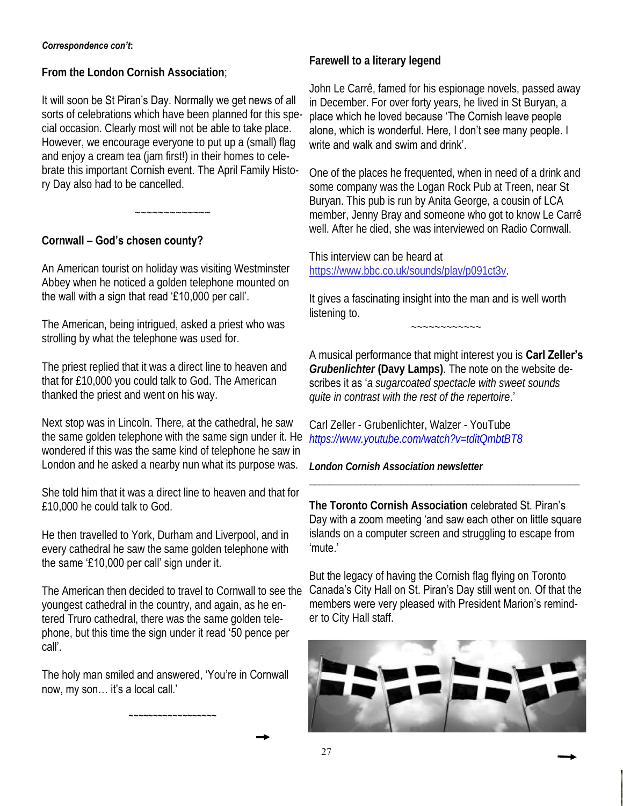#### *Correspondence con't***:**

**From the London Cornish Association**;

It will soon be St Piran's Day. Normally we get news of all sorts of celebrations which have been planned for this special occasion. Clearly most will not be able to take place. However, we encourage everyone to put up a (small) flag and enjoy a cream tea (jam first!) in their homes to celebrate this important Cornish event. The April Family History Day also had to be cancelled.

~~~~~~~~~~~~~

#### **Cornwall – God's chosen county?**

An American tourist on holiday was visiting Westminster Abbey when he noticed a golden telephone mounted on the wall with a sign that read '£10,000 per call'.

The American, being intrigued, asked a priest who was strolling by what the telephone was used for.

The priest replied that it was a direct line to heaven and that for £10,000 you could talk to God. The American thanked the priest and went on his way.

Next stop was in Lincoln. There, at the cathedral, he saw the same golden telephone with the same sign under it. He *https://www.youtube.com/watch?v=tditQmbtBT8* wondered if this was the same kind of telephone he saw in London and he asked a nearby nun what its purpose was.

She told him that it was a direct line to heaven and that for £10,000 he could talk to God.

He then travelled to York, Durham and Liverpool, and in every cathedral he saw the same golden telephone with the same '£10,000 per call' sign under it.

The American then decided to travel to Cornwall to see the youngest cathedral in the country, and again, as he entered Truro cathedral, there was the same golden telephone, but this time the sign under it read '50 pence per call'.

The holy man smiled and answered, 'You're in Cornwall now, my son… it's a local call.'

**~~~~~~~~~~~~~~~~~~**

**Farewell to a literary legend** 

John Le Carrê, famed for his espionage novels, passed away in December. For over forty years, he lived in St Buryan, a place which he loved because 'The Cornish leave people alone, which is wonderful. Here, I don't see many people. I write and walk and swim and drink'.

One of the places he frequented, when in need of a drink and some company was the Logan Rock Pub at Treen, near St Buryan. This pub is run by Anita George, a cousin of LCA member, Jenny Bray and someone who got to know Le Carrê well. After he died, she was interviewed on Radio Cornwall.

This interview can be heard at https://www.bbc.co.uk/sounds/play/p091ct3v.

It gives a fascinating insight into the man and is well worth listening to.

~~~~~~~~~~~~

A musical performance that might interest you is **Carl Zeller's**  *Grubenlichter* **(Davy Lamps)**. The note on the website describes it as '*a sugarcoated spectacle with sweet sounds quite in contrast with the rest of the repertoire*.'

Carl Zeller - Grubenlichter, Walzer - YouTube

*London Cornish Association newsletter*

**The Toronto Cornish Association** celebrated St. Piran's Day with a zoom meeting 'and saw each other on little square islands on a computer screen and struggling to escape from 'mute.'

\_\_\_\_\_\_\_\_\_\_\_\_\_\_\_\_\_\_\_\_\_\_\_\_\_\_\_\_\_\_\_\_\_\_\_\_\_\_\_\_\_\_\_\_\_\_\_\_\_\_\_\_\_

But the legacy of having the Cornish flag flying on Toronto Canada's City Hall on St. Piran's Day still went on. Of that the members were very pleased with President Marion's reminder to City Hall staff.

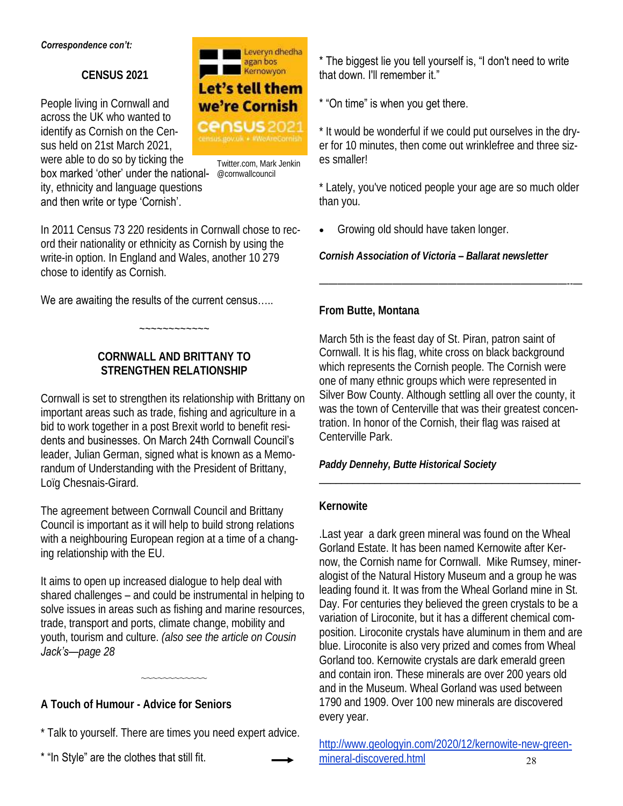#### *Correspondence con't:*

**CENSUS 2021** 

People living in Cornwall and across the UK who wanted to identify as Cornish on the Census held on 21st March 2021, were able to do so by ticking the



Twitter.com, Mark Jenkin

box marked 'other' under the national- @cornwallcouncil ity, ethnicity and language questions and then write or type 'Cornish'.

In 2011 Census 73 220 residents in Cornwall chose to record their nationality or ethnicity as Cornish by using the write-in option. In England and Wales, another 10 279 chose to identify as Cornish.

#### We are awaiting the results of the current census.....

**CORNWALL AND BRITTANY TO STRENGTHEN RELATIONSHIP** 

 $~\sim~\sim~\sim~\sim~\sim~\sim~\sim~\sim~\sim~\sim~\sim$ 

Cornwall is set to strengthen its relationship with Brittany on important areas such as trade, fishing and agriculture in a bid to work together in a post Brexit world to benefit residents and businesses. On March 24th Cornwall Council's leader, Julian German, signed what is known as a Memorandum of Understanding with the President of Brittany, Loïg Chesnais-Girard.

The agreement between Cornwall Council and Brittany Council is important as it will help to build strong relations with a neighbouring European region at a time of a changing relationship with the EU.

It aims to open up increased dialogue to help deal with shared challenges – and could be instrumental in helping to solve issues in areas such as fishing and marine resources, trade, transport and ports, climate change, mobility and youth, tourism and culture. *(also see the article on Cousin Jack's—page 28*

~~~~~~~~~~~~

**A Touch of Humour - Advice for Seniors** 

\* Talk to yourself. There are times you need expert advice.

\* "In Style" are the clothes that still fit.

\* The biggest lie you tell yourself is, "I don't need to write that down. I'll remember it."

#### \* "On time" is when you get there.

\* It would be wonderful if we could put ourselves in the dryer for 10 minutes, then come out wrinklefree and three sizes smaller!

\* Lately, you've noticed people your age are so much older than you.

———————————————————————————--—

• Growing old should have taken longer.

*Cornish Association of Victoria – Ballarat newsletter* 

#### **From Butte, Montana**

March 5th is the feast day of St. Piran, patron saint of Cornwall. It is his flag, white cross on black background which represents the Cornish people. The Cornish were one of many ethnic groups which were represented in Silver Bow County. Although settling all over the county, it was the town of Centerville that was their greatest concentration. In honor of the Cornish, their flag was raised at Centerville Park.

\_\_\_\_\_\_\_\_\_\_\_\_\_\_\_\_\_\_\_\_\_\_\_\_\_\_\_\_\_\_\_\_\_\_\_\_\_\_\_\_\_\_\_\_\_\_\_

*Paddy Dennehy, Butte Historical Society*

#### **Kernowite**

.Last year a dark green mineral was found on the Wheal Gorland Estate. It has been named Kernowite after Kernow, the Cornish name for Cornwall. Mike Rumsey, mineralogist of the Natural History Museum and a group he was leading found it. It was from the Wheal Gorland mine in St. Day. For centuries they believed the green crystals to be a variation of Liroconite, but it has a different chemical composition. Liroconite crystals have aluminum in them and are blue. Liroconite is also very prized and comes from Wheal Gorland too. Kernowite crystals are dark emerald green and contain iron. These minerals are over 200 years old and in the Museum. Wheal Gorland was used between 1790 and 1909. Over 100 new minerals are discovered every year.

http://www.geologyin.com/2020/12/kernowite-new-greenmineral-discovered.html 28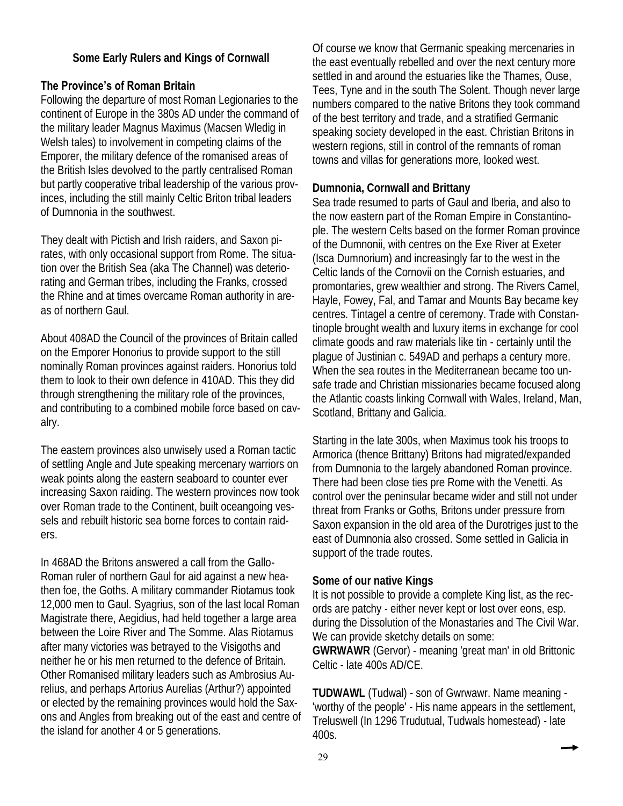**Some Early Rulers and Kings of Cornwall** 

#### **The Province's of Roman Britain**

Following the departure of most Roman Legionaries to the continent of Europe in the 380s AD under the command of the military leader Magnus Maximus (Macsen Wledig in Welsh tales) to involvement in competing claims of the Emporer, the military defence of the romanised areas of the British Isles devolved to the partly centralised Roman but partly cooperative tribal leadership of the various provinces, including the still mainly Celtic Briton tribal leaders of Dumnonia in the southwest.

They dealt with Pictish and Irish raiders, and Saxon pirates, with only occasional support from Rome. The situation over the British Sea (aka The Channel) was deteriorating and German tribes, including the Franks, crossed the Rhine and at times overcame Roman authority in areas of northern Gaul.

About 408AD the Council of the provinces of Britain called on the Emporer Honorius to provide support to the still nominally Roman provinces against raiders. Honorius told them to look to their own defence in 410AD. This they did through strengthening the military role of the provinces, and contributing to a combined mobile force based on cavalry.

The eastern provinces also unwisely used a Roman tactic of settling Angle and Jute speaking mercenary warriors on weak points along the eastern seaboard to counter ever increasing Saxon raiding. The western provinces now took over Roman trade to the Continent, built oceangoing vessels and rebuilt historic sea borne forces to contain raiders.

In 468AD the Britons answered a call from the Gallo-Roman ruler of northern Gaul for aid against a new heathen foe, the Goths. A military commander Riotamus took 12,000 men to Gaul. Syagrius, son of the last local Roman Magistrate there, Aegidius, had held together a large area between the Loire River and The Somme. Alas Riotamus after many victories was betrayed to the Visigoths and neither he or his men returned to the defence of Britain. Other Romanised military leaders such as Ambrosius Aurelius, and perhaps Artorius Aurelias (Arthur?) appointed or elected by the remaining provinces would hold the Saxons and Angles from breaking out of the east and centre of the island for another 4 or 5 generations.

Of course we know that Germanic speaking mercenaries in the east eventually rebelled and over the next century more settled in and around the estuaries like the Thames, Ouse, Tees, Tyne and in the south The Solent. Though never large numbers compared to the native Britons they took command of the best territory and trade, and a stratified Germanic speaking society developed in the east. Christian Britons in western regions, still in control of the remnants of roman towns and villas for generations more, looked west.

#### **Dumnonia, Cornwall and Brittany**

Sea trade resumed to parts of Gaul and Iberia, and also to the now eastern part of the Roman Empire in Constantinople. The western Celts based on the former Roman province of the Dumnonii, with centres on the Exe River at Exeter (Isca Dumnorium) and increasingly far to the west in the Celtic lands of the Cornovii on the Cornish estuaries, and promontaries, grew wealthier and strong. The Rivers Camel, Hayle, Fowey, Fal, and Tamar and Mounts Bay became key centres. Tintagel a centre of ceremony. Trade with Constantinople brought wealth and luxury items in exchange for cool climate goods and raw materials like tin - certainly until the plague of Justinian c. 549AD and perhaps a century more. When the sea routes in the Mediterranean became too unsafe trade and Christian missionaries became focused along the Atlantic coasts linking Cornwall with Wales, Ireland, Man, Scotland, Brittany and Galicia.

Starting in the late 300s, when Maximus took his troops to Armorica (thence Brittany) Britons had migrated/expanded from Dumnonia to the largely abandoned Roman province. There had been close ties pre Rome with the Venetti. As control over the peninsular became wider and still not under threat from Franks or Goths, Britons under pressure from Saxon expansion in the old area of the Durotriges just to the east of Dumnonia also crossed. Some settled in Galicia in support of the trade routes.

#### **Some of our native Kings**

It is not possible to provide a complete King list, as the records are patchy - either never kept or lost over eons, esp. during the Dissolution of the Monastaries and The Civil War. We can provide sketchy details on some: **GWRWAWR** (Gervor) - meaning 'great man' in old Brittonic Celtic - late 400s AD/CE.

**TUDWAWL** (Tudwal) - son of Gwrwawr. Name meaning - 'worthy of the people' - His name appears in the settlement, Treluswell (In 1296 Trudutual, Tudwals homestead) - late 400s.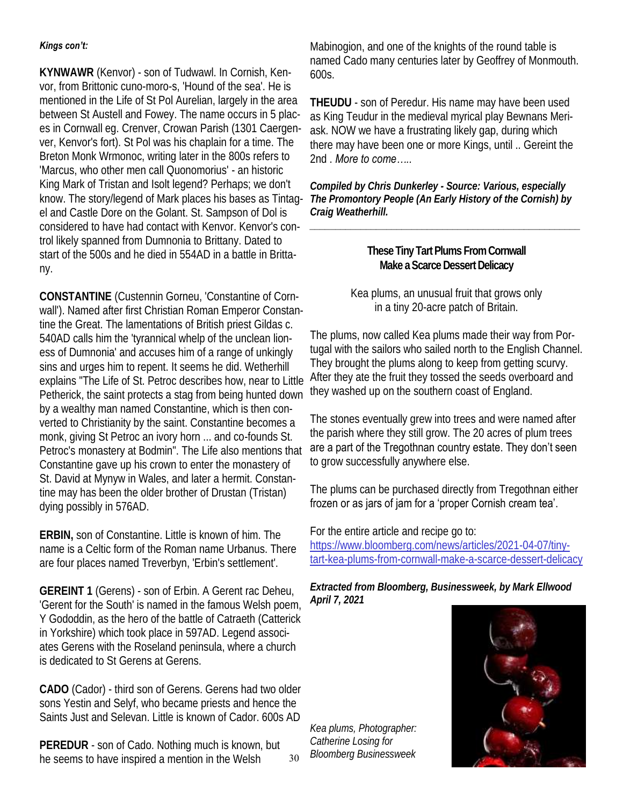#### *Kings con't:*

**KYNWAWR** (Kenvor) - son of Tudwawl. In Cornish, Kenvor, from Brittonic cuno-moro-s, 'Hound of the sea'. He is mentioned in the Life of St Pol Aurelian, largely in the area between St Austell and Fowey. The name occurs in 5 places in Cornwall eg. Crenver, Crowan Parish (1301 Caergenver, Kenvor's fort). St Pol was his chaplain for a time. The Breton Monk Wrmonoc, writing later in the 800s refers to 'Marcus, who other men call Quonomorius' - an historic King Mark of Tristan and Isolt legend? Perhaps; we don't el and Castle Dore on the Golant. St. Sampson of Dol is considered to have had contact with Kenvor. Kenvor's control likely spanned from Dumnonia to Brittany. Dated to start of the 500s and he died in 554AD in a battle in Brittany.

**CONSTANTINE** (Custennin Gorneu, 'Constantine of Cornwall'). Named after first Christian Roman Emperor Constantine the Great. The lamentations of British priest Gildas c. 540AD calls him the 'tyrannical whelp of the unclean lioness of Dumnonia' and accuses him of a range of unkingly sins and urges him to repent. It seems he did. Wetherhill explains "The Life of St. Petroc describes how, near to Little Petherick, the saint protects a stag from being hunted down by a wealthy man named Constantine, which is then converted to Christianity by the saint. Constantine becomes a monk, giving St Petroc an ivory horn ... and co-founds St. Petroc's monastery at Bodmin". The Life also mentions that Constantine gave up his crown to enter the monastery of St. David at Mynyw in Wales, and later a hermit. Constantine may has been the older brother of Drustan (Tristan) dying possibly in 576AD.

**ERBIN,** son of Constantine. Little is known of him. The name is a Celtic form of the Roman name Urbanus. There are four places named Treverbyn, 'Erbin's settlement'.

**GEREINT 1** (Gerens) - son of Erbin. A Gerent rac Deheu, 'Gerent for the South' is named in the famous Welsh poem, Y Gododdin, as the hero of the battle of Catraeth (Catterick in Yorkshire) which took place in 597AD. Legend associates Gerens with the Roseland peninsula, where a church is dedicated to St Gerens at Gerens.

**CADO** (Cador) - third son of Gerens. Gerens had two older sons Yestin and Selyf, who became priests and hence the Saints Just and Selevan. Little is known of Cador. 600s AD

**PEREDUR** - son of Cado. Nothing much is known, but he seems to have inspired a mention in the Welsh

Mabinogion, and one of the knights of the round table is named Cado many centuries later by Geoffrey of Monmouth.  $600s$ .

**THEUDU** - son of Peredur. His name may have been used as King Teudur in the medieval myrical play Bewnans Meriask. NOW we have a frustrating likely gap, during which there may have been one or more Kings, until .. Gereint the 2nd . *More to come…..*

know. The story/legend of Mark places his bases as Tintag-*The Promontory People (An Early History of the Cornish) by Compiled by Chris Dunkerley - Source: Various, especially Craig Weatherhill.* 

*\_\_\_\_\_\_\_\_\_\_\_\_\_\_\_\_\_\_\_\_\_\_\_\_\_\_\_\_\_\_\_\_\_\_\_\_\_\_\_\_\_\_\_\_\_\_\_\_\_\_\_\_\_*

#### **These Tiny Tart Plums From Cornwall Make a Scarce Dessert Delicacy**

Kea plums, an unusual fruit that grows only in a tiny 20-acre patch of Britain.

The plums, now called Kea plums made their way from Portugal with the sailors who sailed north to the English Channel. They brought the plums along to keep from getting scurvy. After they ate the fruit they tossed the seeds overboard and they washed up on the southern coast of England.

The stones eventually grew into trees and were named after the parish where they still grow. The 20 acres of plum trees are a part of the Tregothnan country estate. They don't seen to grow successfully anywhere else.

The plums can be purchased directly from Tregothnan either frozen or as jars of jam for a 'proper Cornish cream tea'.

For the entire article and recipe go to: https://www.bloomberg.com/news/articles/2021-04-07/tinytart-kea-plums-from-cornwall-make-a-scarce-dessert-delicacy

*Extracted from Bloomberg, Businessweek, by Mark Ellwood April 7, 2021*

*Kea plums, Photographer: Catherine Losing for Bloomberg Businessweek* <sup>30</sup>

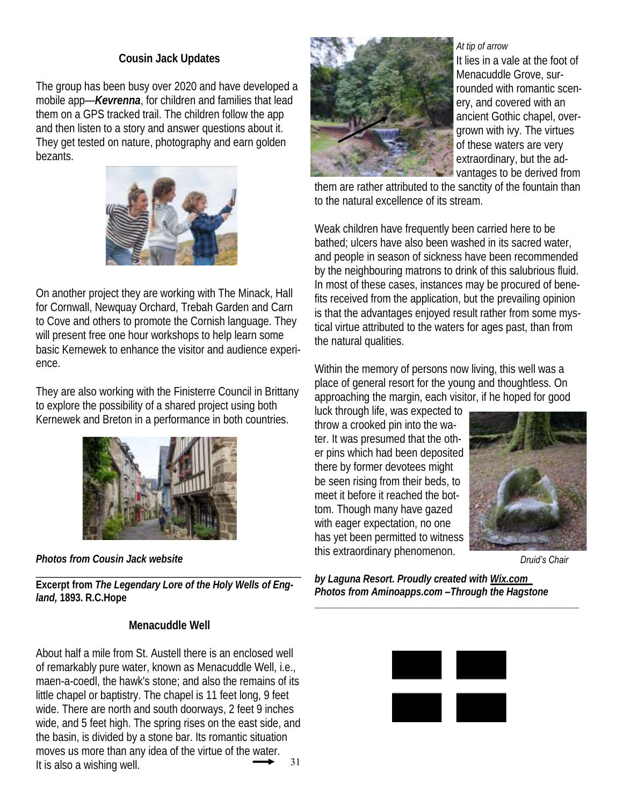#### **Cousin Jack Updates**

The group has been busy over 2020 and have developed a mobile app—*Kevrenna*, for children and families that lead them on a GPS tracked trail. The children follow the app and then listen to a story and answer questions about it. They get tested on nature, photography and earn golden bezants.



On another project they are working with The Minack, Hall for Cornwall, Newquay Orchard, Trebah Garden and Carn to Cove and others to promote the Cornish language. They will present free one hour workshops to help learn some basic Kernewek to enhance the visitor and audience experience.

They are also working with the Finisterre Council in Brittany to explore the possibility of a shared project using both Kernewek and Breton in a performance in both countries.



*Photos from Cousin Jack website*

\_\_\_\_\_\_\_\_\_\_\_\_\_\_\_\_\_\_\_\_\_\_\_\_\_\_\_\_\_\_\_\_\_\_\_\_\_\_\_\_\_\_\_\_\_\_\_\_\_\_\_\_ **Excerpt from** *The Legendary Lore of the Holy Wells of England,* **1893. R.C.Hope**

#### **Menacuddle Well**

About half a mile from St. Austell there is an enclosed well of remarkably pure water, known as Menacuddle Well, i.e., maen-a-coedl, the hawk's stone; and also the remains of its little chapel or baptistry. The chapel is 11 feet long, 9 feet wide. There are north and south doorways, 2 feet 9 inches wide, and 5 feet high. The spring rises on the east side, and the basin, is divided by a stone bar. Its romantic situation moves us more than any idea of the virtue of the water. It is also a wishing well.  $\overrightarrow{31}$ 



#### *At tip of arrow*

It lies in a vale at the foot of Menacuddle Grove, surrounded with romantic scenery, and covered with an ancient Gothic chapel, overgrown with ivy. The virtues of these waters are very extraordinary, but the advantages to be derived from

them are rather attributed to the sanctity of the fountain than to the natural excellence of its stream.

Weak children have frequently been carried here to be bathed; ulcers have also been washed in its sacred water, and people in season of sickness have been recommended by the neighbouring matrons to drink of this salubrious fluid. In most of these cases, instances may be procured of benefits received from the application, but the prevailing opinion is that the advantages enjoyed result rather from some mystical virtue attributed to the waters for ages past, than from the natural qualities.

Within the memory of persons now living, this well was a place of general resort for the young and thoughtless. On approaching the margin, each visitor, if he hoped for good

luck through life, was expected to throw a crooked pin into the water. It was presumed that the other pins which had been deposited there by former devotees might be seen rising from their beds, to meet it before it reached the bottom. Though many have gazed with eager expectation, no one has yet been permitted to witness this extraordinary phenomenon.



*Druid's Chair*

*by Laguna Resort. Proudly created with Wix.com Photos from Aminoapps.com –Through the Hagstone*

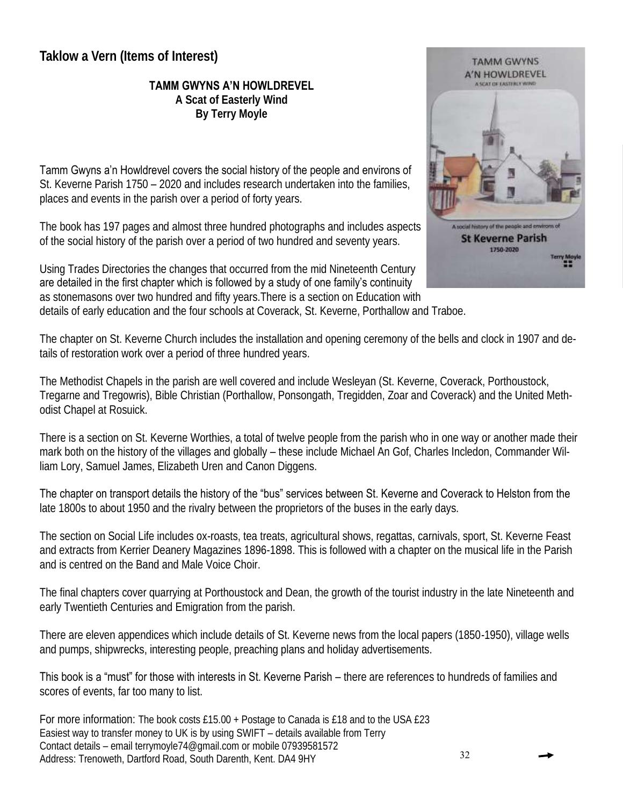## **Taklow a Vern (Items of Interest)**

**TAMM GWYNS A'N HOWLDREVEL** 

**A Scat of Easterly Wind By Terry Moyle**

Tamm Gwyns a'n Howldrevel covers the social history of the people and environs of St. Keverne Parish 1750 – 2020 and includes research undertaken into the families, places and events in the parish over a period of forty years.

The book has 197 pages and almost three hundred photographs and includes aspects of the social history of the parish over a period of two hundred and seventy years.

Using Trades Directories the changes that occurred from the mid Nineteenth Century are detailed in the first chapter which is followed by a study of one family's continuity as stonemasons over two hundred and fifty years.There is a section on Education with details of early education and the four schools at Coverack, St. Keverne, Porthallow and Traboe.



The chapter on St. Keverne Church includes the installation and opening ceremony of the bells and clock in 1907 and details of restoration work over a period of three hundred years.

The Methodist Chapels in the parish are well covered and include Wesleyan (St. Keverne, Coverack, Porthoustock, Tregarne and Tregowris), Bible Christian (Porthallow, Ponsongath, Tregidden, Zoar and Coverack) and the United Methodist Chapel at Rosuick.

There is a section on St. Keverne Worthies, a total of twelve people from the parish who in one way or another made their mark both on the history of the villages and globally – these include Michael An Gof, Charles Incledon, Commander William Lory, Samuel James, Elizabeth Uren and Canon Diggens.

The chapter on transport details the history of the "bus" services between St. Keverne and Coverack to Helston from the late 1800s to about 1950 and the rivalry between the proprietors of the buses in the early days.

The section on Social Life includes ox-roasts, tea treats, agricultural shows, regattas, carnivals, sport, St. Keverne Feast and extracts from Kerrier Deanery Magazines 1896-1898. This is followed with a chapter on the musical life in the Parish and is centred on the Band and Male Voice Choir.

The final chapters cover quarrying at Porthoustock and Dean, the growth of the tourist industry in the late Nineteenth and early Twentieth Centuries and Emigration from the parish.

There are eleven appendices which include details of St. Keverne news from the local papers (1850-1950), village wells and pumps, shipwrecks, interesting people, preaching plans and holiday advertisements.

This book is a "must" for those with interests in St. Keverne Parish – there are references to hundreds of families and scores of events, far too many to list.

For more information: The book costs £15.00 + Postage to Canada is £18 and to the USA £23 Easiest way to transfer money to UK is by using SWIFT – details available from Terry Contact details – email terrymoyle74@gmail.com or mobile 07939581572 Address: Trenoweth, Dartford Road, South Darenth, Kent. DA4 9HY 32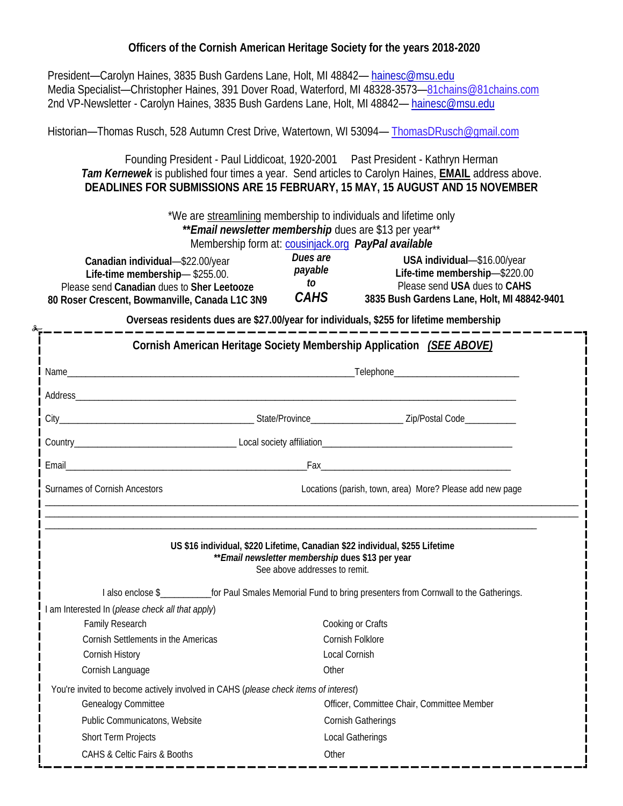**Officers of the Cornish American Heritage Society for the years 2018-2020**

 President—Carolyn Haines, 3835 Bush Gardens Lane, Holt, MI 48842— hainesc@msu.edu Media Specialist—Christopher Haines, 391 Dover Road, Waterford, MI 48328-3573—81chains@81chains.com 2nd VP-Newsletter - Carolyn Haines, 3835 Bush Gardens Lane, Holt, MI 48842— hainesc@msu.edu

Historian—Thomas Rusch, 528 Autumn Crest Drive, Watertown, WI 53094— ThomasDRusch@gmail.com

Founding President - Paul Liddicoat, 1920-2001 Past President - Kathryn Herman *Tam Kernewek* is published four times a year. Send articles to Carolyn Haines, **EMAIL** address above. **DEADLINES FOR SUBMISSIONS ARE 15 FEBRUARY, 15 MAY, 15 AUGUST AND 15 NOVEMBER** 

> \*We are streamlining membership to individuals and lifetime only **\*\****Email newsletter membership* dues are \$13 per year\*\* Membership form at: cousinjack.org *PayPal available*

| Canadian individual-\$22.00/year<br>Life-time membership-\$255.00.<br>Please send Canadian dues to Sher Leetooze | Dues are<br>payable<br>ĪО<br>CAHS | USA individual-\$16.00/year<br>Life-time membership-\$220.00<br>Please send USA dues to CAHS |
|------------------------------------------------------------------------------------------------------------------|-----------------------------------|----------------------------------------------------------------------------------------------|
| 80 Roser Crescent, Bowmanville, Canada L1C 3N9                                                                   |                                   | 3835 Bush Gardens Lane, Holt, MI 48842-9401                                                  |

**Overseas residents dues are \$27.00/year for individuals, \$255 for lifetime membership**

|                                                | Cornish American Heritage Society Membership Application (SEE ABOVE)                                                                                               |                                                          |  |  |
|------------------------------------------------|--------------------------------------------------------------------------------------------------------------------------------------------------------------------|----------------------------------------------------------|--|--|
|                                                |                                                                                                                                                                    |                                                          |  |  |
|                                                |                                                                                                                                                                    |                                                          |  |  |
|                                                |                                                                                                                                                                    |                                                          |  |  |
|                                                |                                                                                                                                                                    |                                                          |  |  |
|                                                |                                                                                                                                                                    |                                                          |  |  |
| Surnames of Cornish Ancestors                  |                                                                                                                                                                    | Locations (parish, town, area) More? Please add new page |  |  |
|                                                | US \$16 individual, \$220 Lifetime, Canadian \$22 individual, \$255 Lifetime<br>** Email newsletter membership dues \$13 per year<br>See above addresses to remit. |                                                          |  |  |
|                                                | I also enclose \$<br>for Paul Smales Memorial Fund to bring presenters from Cornwall to the Gatherings.                                                            |                                                          |  |  |
| am Interested In (please check all that apply) |                                                                                                                                                                    |                                                          |  |  |
| Family Research                                | Cooking or Crafts                                                                                                                                                  |                                                          |  |  |
| Cornish Settlements in the Americas            | Cornish Folklore                                                                                                                                                   |                                                          |  |  |
| Cornish History<br>Cornish Language            | Local Cornish<br>Other                                                                                                                                             |                                                          |  |  |
|                                                |                                                                                                                                                                    |                                                          |  |  |
| Genealogy Committee                            | You're invited to become actively involved in CAHS (please check items of interest)<br>Officer, Committee Chair, Committee Member                                  |                                                          |  |  |
| Public Communicatons, Website                  | Cornish Gatherings                                                                                                                                                 |                                                          |  |  |
| Short Term Projects                            | Local Gatherings                                                                                                                                                   |                                                          |  |  |